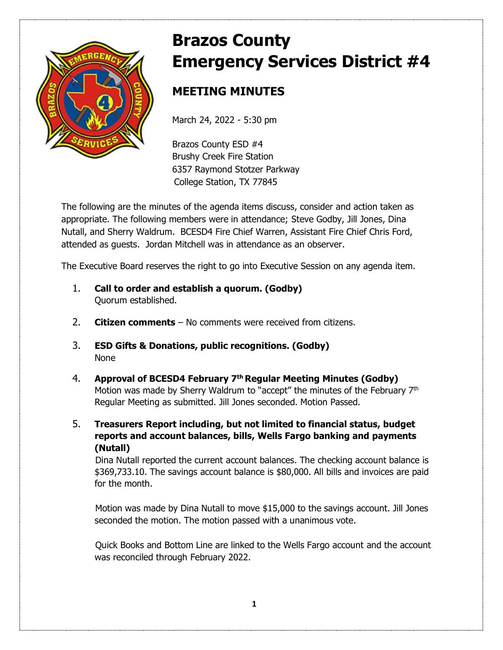

# **Brazos County Emergency Services District #4**

# **MEETING MINUTES**

March 24, 2022 - 5:30 pm

Brazos County ESD #4 Brushy Creek Fire Station 6357 Raymond Stotzer Parkway College Station, TX 77845

The following are the minutes of the agenda items discuss, consider and action taken as appropriate. The following members were in attendance; Steve Godby, Jill Jones, Dina Nutall, and Sherry Waldrum. BCESD4 Fire Chief Warren, Assistant Fire Chief Chris Ford, attended as guests. Jordan Mitchell was in attendance as an observer.

The Executive Board reserves the right to go into Executive Session on any agenda item.

- 1. **Call to order and establish a quorum. (Godby)** Quorum established.
- 2. **Citizen comments** No comments were received from citizens.
- 3. **ESD Gifts & Donations, public recognitions. (Godby)**  None
- 4. **Approval of BCESD4 February 7th Regular Meeting Minutes (Godby)** Motion was made by Sherry Waldrum to "accept" the minutes of the February  $7<sup>th</sup>$ Regular Meeting as submitted. Jill Jones seconded. Motion Passed.
- 5. **Treasurers Report including, but not limited to financial status, budget reports and account balances, bills, Wells Fargo banking and payments (Nutall)**

Dina Nutall reported the current account balances. The checking account balance is \$369,733.10. The savings account balance is \$80,000. All bills and invoices are paid for the month.

Motion was made by Dina Nutall to move \$15,000 to the savings account. Jill Jones seconded the motion. The motion passed with a unanimous vote.

Quick Books and Bottom Line are linked to the Wells Fargo account and the account was reconciled through February 2022.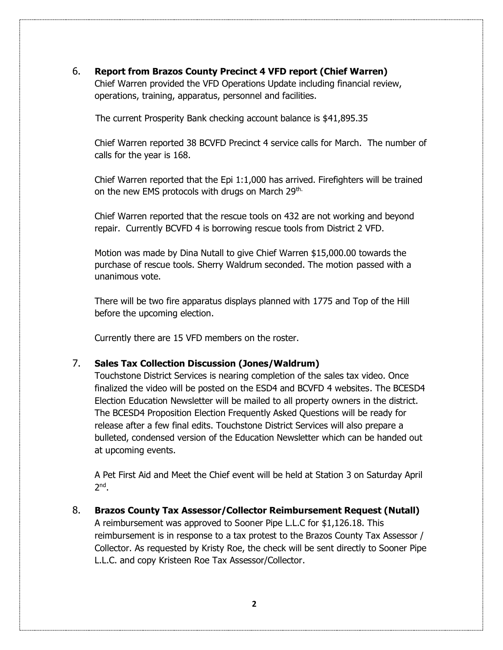#### 6. **Report from Brazos County Precinct 4 VFD report (Chief Warren)**

 Chief Warren provided the VFD Operations Update including financial review, operations, training, apparatus, personnel and facilities.

The current Prosperity Bank checking account balance is \$41,895.35

Chief Warren reported 38 BCVFD Precinct 4 service calls for March. The number of calls for the year is 168.

Chief Warren reported that the Epi 1:1,000 has arrived. Firefighters will be trained on the new EMS protocols with drugs on March 29<sup>th.</sup>

Chief Warren reported that the rescue tools on 432 are not working and beyond repair. Currently BCVFD 4 is borrowing rescue tools from District 2 VFD.

Motion was made by Dina Nutall to give Chief Warren \$15,000.00 towards the purchase of rescue tools. Sherry Waldrum seconded. The motion passed with a unanimous vote.

There will be two fire apparatus displays planned with 1775 and Top of the Hill before the upcoming election.

Currently there are 15 VFD members on the roster.

#### 7. **Sales Tax Collection Discussion (Jones/Waldrum)**

Touchstone District Services is nearing completion of the sales tax video. Once finalized the video will be posted on the ESD4 and BCVFD 4 websites. The BCESD4 Election Education Newsletter will be mailed to all property owners in the district. The BCESD4 Proposition Election Frequently Asked Questions will be ready for release after a few final edits. Touchstone District Services will also prepare a bulleted, condensed version of the Education Newsletter which can be handed out at upcoming events.

A Pet First Aid and Meet the Chief event will be held at Station 3 on Saturday April 2<sup>nd</sup>.

8. **Brazos County Tax Assessor/Collector Reimbursement Request (Nutall)**

A reimbursement was approved to Sooner Pipe L.L.C for \$1,126.18. This reimbursement is in response to a tax protest to the Brazos County Tax Assessor / Collector. As requested by Kristy Roe, the check will be sent directly to Sooner Pipe L.L.C. and copy Kristeen Roe Tax Assessor/Collector.